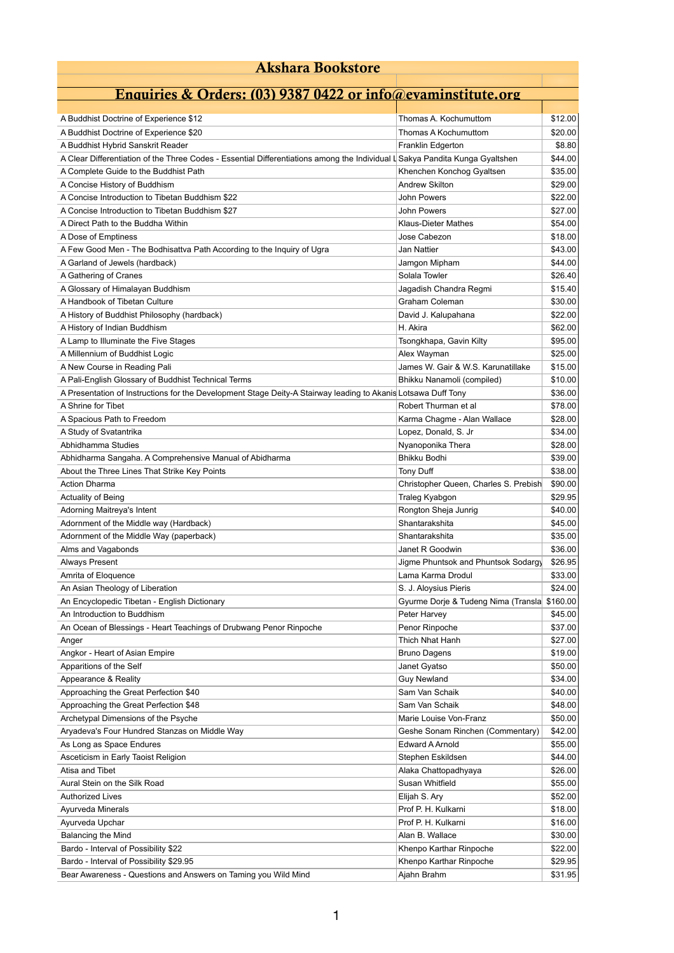| <b>Akshara Bookstore</b>                                                                                                     |                                                    |          |
|------------------------------------------------------------------------------------------------------------------------------|----------------------------------------------------|----------|
|                                                                                                                              |                                                    |          |
| <b>Enquiries &amp; Orders: (03) 9387 0422 or info@evaminstitute.org</b>                                                      |                                                    |          |
| A Buddhist Doctrine of Experience \$12                                                                                       | Thomas A. Kochumuttom                              | \$12.00  |
| A Buddhist Doctrine of Experience \$20                                                                                       | Thomas A Kochumuttom                               | \$20.00  |
| A Buddhist Hybrid Sanskrit Reader                                                                                            | Franklin Edgerton                                  | \$8.80   |
| A Clear Differentiation of the Three Codes - Essential Differentiations among the Individual L Sakya Pandita Kunga Gyaltshen |                                                    | \$44.00  |
|                                                                                                                              |                                                    |          |
| A Complete Guide to the Buddhist Path                                                                                        | Khenchen Konchog Gyaltsen<br><b>Andrew Skilton</b> | \$35.00  |
| A Concise History of Buddhism                                                                                                | <b>John Powers</b>                                 | \$29.00  |
| A Concise Introduction to Tibetan Buddhism \$22                                                                              |                                                    | \$22.00  |
| A Concise Introduction to Tibetan Buddhism \$27                                                                              | <b>John Powers</b>                                 | \$27.00  |
| A Direct Path to the Buddha Within                                                                                           | <b>Klaus-Dieter Mathes</b>                         | \$54.00  |
| A Dose of Emptiness                                                                                                          | Jose Cabezon                                       | \$18.00  |
| A Few Good Men - The Bodhisattva Path According to the Inquiry of Ugra                                                       | Jan Nattier                                        | \$43.00  |
| A Garland of Jewels (hardback)                                                                                               | Jamgon Mipham                                      | \$44.00  |
| A Gathering of Cranes                                                                                                        | Solala Towler                                      | \$26.40  |
| A Glossary of Himalayan Buddhism                                                                                             | Jagadish Chandra Regmi                             | \$15.40  |
| A Handbook of Tibetan Culture                                                                                                | Graham Coleman                                     | \$30.00  |
| A History of Buddhist Philosophy (hardback)                                                                                  | David J. Kalupahana                                | \$22.00  |
| A History of Indian Buddhism                                                                                                 | H. Akira                                           | \$62.00  |
| A Lamp to Illuminate the Five Stages                                                                                         | Tsongkhapa, Gavin Kilty                            | \$95.00  |
| A Millennium of Buddhist Logic                                                                                               | Alex Wayman                                        | \$25.00  |
| A New Course in Reading Pali                                                                                                 | James W. Gair & W.S. Karunatillake                 | \$15.00  |
| A Pali-English Glossary of Buddhist Technical Terms                                                                          | Bhikku Nanamoli (compiled)                         | \$10.00  |
| A Presentation of Instructions for the Development Stage Deity-A Stairway leading to Akanis Lotsawa Duff Tony                |                                                    | \$36.00  |
| A Shrine for Tibet                                                                                                           | Robert Thurman et al                               | \$78.00  |
| A Spacious Path to Freedom                                                                                                   | Karma Chagme - Alan Wallace                        | \$28.00  |
| A Study of Svatantrika                                                                                                       | Lopez, Donald, S. Jr                               | \$34.00  |
| Abhidhamma Studies                                                                                                           | Nyanoponika Thera                                  | \$28.00  |
| Abhidharma Sangaha. A Comprehensive Manual of Abidharma                                                                      | Bhikku Bodhi                                       | \$39.00  |
| About the Three Lines That Strike Key Points                                                                                 | <b>Tony Duff</b>                                   | \$38.00  |
| <b>Action Dharma</b>                                                                                                         | Christopher Queen, Charles S. Prebish              | \$90.00  |
| <b>Actuality of Being</b>                                                                                                    | Traleg Kyabgon                                     | \$29.95  |
| Adorning Maitreya's Intent                                                                                                   | Rongton Sheja Junrig                               | \$40.00  |
| Adornment of the Middle way (Hardback)                                                                                       | Shantarakshita                                     | \$45.00  |
| Adornment of the Middle Way (paperback)                                                                                      | Shantarakshita                                     | \$35.00  |
| Alms and Vagabonds                                                                                                           | Janet R Goodwin                                    | \$36.00  |
| <b>Always Present</b>                                                                                                        | Jigme Phuntsok and Phuntsok Sodargy                | \$26.95  |
| Amrita of Eloquence                                                                                                          | Lama Karma Drodul                                  | \$33.00  |
|                                                                                                                              |                                                    | \$24.00  |
| An Asian Theology of Liberation                                                                                              | S. J. Aloysius Pieris                              |          |
| An Encyclopedic Tibetan - English Dictionary                                                                                 | Gyurme Dorje & Tudeng Nima (Transla                | \$160.00 |
| An Introduction to Buddhism                                                                                                  | Peter Harvey                                       | \$45.00  |
| An Ocean of Blessings - Heart Teachings of Drubwang Penor Rinpoche                                                           | Penor Rinpoche                                     | \$37.00  |
| Anger                                                                                                                        | Thich Nhat Hanh                                    | \$27.00  |
| Angkor - Heart of Asian Empire                                                                                               | <b>Bruno Dagens</b>                                | \$19.00  |
| Apparitions of the Self                                                                                                      | Janet Gyatso                                       | \$50.00  |
| Appearance & Reality                                                                                                         | <b>Guy Newland</b>                                 | \$34.00  |
| Approaching the Great Perfection \$40                                                                                        | Sam Van Schaik                                     | \$40.00  |
| Approaching the Great Perfection \$48                                                                                        | Sam Van Schaik                                     | \$48.00  |
| Archetypal Dimensions of the Psyche                                                                                          | Marie Louise Von-Franz                             | \$50.00  |
| Aryadeva's Four Hundred Stanzas on Middle Way                                                                                | Geshe Sonam Rinchen (Commentary)                   | \$42.00  |
| As Long as Space Endures                                                                                                     | <b>Edward A Arnold</b>                             | \$55.00  |
| Asceticism in Early Taoist Religion                                                                                          | Stephen Eskildsen                                  | \$44.00  |
| Atisa and Tibet                                                                                                              | Alaka Chattopadhyaya                               | \$26.00  |
| Aural Stein on the Silk Road                                                                                                 | Susan Whitfield                                    | \$55.00  |
| <b>Authorized Lives</b>                                                                                                      | Elijah S. Ary                                      | \$52.00  |
| Ayurveda Minerals                                                                                                            | Prof P. H. Kulkarni                                | \$18.00  |
| Ayurveda Upchar                                                                                                              | Prof P. H. Kulkarni                                | \$16.00  |
| <b>Balancing the Mind</b>                                                                                                    | Alan B. Wallace                                    | \$30.00  |
| Bardo - Interval of Possibility \$22                                                                                         | Khenpo Karthar Rinpoche                            | \$22.00  |
| Bardo - Interval of Possibility \$29.95                                                                                      | Khenpo Karthar Rinpoche                            | \$29.95  |
| Bear Awareness - Questions and Answers on Taming you Wild Mind                                                               | Ajahn Brahm                                        | \$31.95  |
|                                                                                                                              |                                                    |          |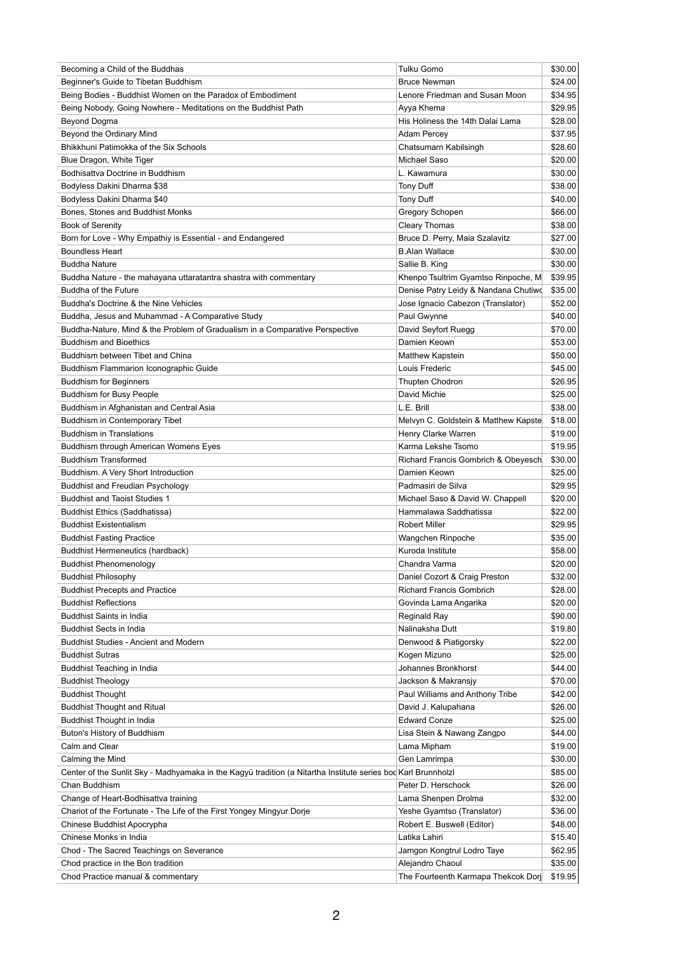| Becoming a Child of the Buddhas                                                                               | <b>Tulku Gomo</b>                    | \$30.00 |
|---------------------------------------------------------------------------------------------------------------|--------------------------------------|---------|
| Beginner's Guide to Tibetan Buddhism                                                                          | <b>Bruce Newman</b>                  | \$24.00 |
| Being Bodies - Buddhist Women on the Paradox of Embodiment                                                    | Lenore Friedman and Susan Moon       | \$34.95 |
| Being Nobody, Going Nowhere - Meditations on the Buddhist Path                                                | Ayya Khema                           | \$29.95 |
| Beyond Dogma                                                                                                  | His Holiness the 14th Dalai Lama     | \$28.00 |
| Beyond the Ordinary Mind                                                                                      | Adam Percey                          | \$37.95 |
| Bhikkhuni Patimokka of the Six Schools                                                                        | Chatsumarn Kabilsingh                | \$28.60 |
| Blue Dragon, White Tiger                                                                                      | Michael Saso                         | \$20.00 |
| Bodhisattva Doctrine in Buddhism                                                                              | L. Kawamura                          | \$30.00 |
| Bodyless Dakini Dharma \$38                                                                                   | <b>Tony Duff</b>                     | \$38.00 |
| Bodyless Dakini Dharma \$40                                                                                   | <b>Tony Duff</b>                     | \$40.00 |
| Bones, Stones and Buddhist Monks                                                                              | Gregory Schopen                      | \$66.00 |
| <b>Book of Serenity</b>                                                                                       | <b>Cleary Thomas</b>                 | \$38.00 |
|                                                                                                               |                                      |         |
| Born for Love - Why Empathiy is Essential - and Endangered                                                    | Bruce D. Perry, Maia Szalavitz       | \$27.00 |
| <b>Boundless Heart</b>                                                                                        | <b>B.Alan Wallace</b>                | \$30.00 |
| <b>Buddha Nature</b>                                                                                          | Sallie B. King                       | \$30.00 |
| Buddha Nature - the mahayana uttaratantra shastra with commentary                                             | Khenpo Tsultrim Gyamtso Rinpoche, M  | \$39.95 |
| <b>Buddha of the Future</b>                                                                                   | Denise Patry Leidy & Nandana Chutiwo | \$35.00 |
| Buddha's Doctrine & the Nine Vehicles                                                                         | Jose Ignacio Cabezon (Translator)    | \$52.00 |
| Buddha, Jesus and Muhammad - A Comparative Study                                                              | Paul Gwynne                          | \$40.00 |
| Buddha-Nature, Mind & the Problem of Gradualism in a Comparative Perspective                                  | David Seyfort Ruegg                  | \$70.00 |
| <b>Buddhism and Bioethics</b>                                                                                 | Damien Keown                         | \$53.00 |
| Buddhism between Tibet and China                                                                              | Matthew Kapstein                     | \$50.00 |
| <b>Buddhism Flammarion Iconographic Guide</b>                                                                 | Louis Frederic                       | \$45.00 |
| <b>Buddhism for Beginners</b>                                                                                 | Thupten Chodron                      | \$26.95 |
| <b>Buddhism for Busy People</b>                                                                               | David Michie                         | \$25.00 |
| Buddhism in Afghanistan and Central Asia                                                                      | L.E. Brill                           | \$38.00 |
| Buddhism in Contemporary Tibet                                                                                | Melvyn C. Goldstein & Matthew Kapste | \$18.00 |
| <b>Buddhism in Translations</b>                                                                               | Henry Clarke Warren                  | \$19.00 |
| Buddhism through American Womens Eyes                                                                         | Karma Lekshe Tsomo                   | \$19.95 |
| <b>Buddhism Transformed</b>                                                                                   | Richard Francis Gombrich & Obeyesch  | \$30.00 |
|                                                                                                               | Damien Keown                         | \$25.00 |
| Buddhism. A Very Short Introduction                                                                           | Padmasiri de Silva                   |         |
| <b>Buddhist and Freudian Psychology</b>                                                                       |                                      | \$29.95 |
| <b>Buddhist and Taoist Studies 1</b>                                                                          | Michael Saso & David W. Chappell     | \$20.00 |
| <b>Buddhist Ethics (Saddhatissa)</b>                                                                          | Hammalawa Saddhatissa                | \$22.00 |
| <b>Buddhist Existentialism</b>                                                                                | <b>Robert Miller</b>                 | \$29.95 |
| <b>Buddhist Fasting Practice</b>                                                                              | Wangchen Rinpoche                    | \$35.00 |
| <b>Buddhist Hermeneutics (hardback)</b>                                                                       | Kuroda Institute                     | \$58.00 |
| <b>Buddhist Phenomenology</b>                                                                                 | Chandra Varma                        | \$20.00 |
| <b>Buddhist Philosophy</b>                                                                                    | Daniel Cozort & Craig Preston        | \$32.00 |
| <b>Buddhist Precepts and Practice</b>                                                                         | <b>Richard Francis Gombrich</b>      | \$28.00 |
| <b>Buddhist Reflections</b>                                                                                   | Govinda Lama Angarika                | \$20.00 |
| <b>Buddhist Saints in India</b>                                                                               | Reginald Ray                         | \$90.00 |
| <b>Buddhist Sects in India</b>                                                                                | Nalinaksha Dutt                      | \$19.80 |
| <b>Buddhist Studies - Ancient and Modern</b>                                                                  | Denwood & Piatigorsky                | \$22.00 |
| <b>Buddhist Sutras</b>                                                                                        | Kogen Mizuno                         | \$25.00 |
| Buddhist Teaching in India                                                                                    | Johannes Bronkhorst                  | \$44.00 |
| <b>Buddhist Theology</b>                                                                                      | Jackson & Makransjy                  | \$70.00 |
| <b>Buddhist Thought</b>                                                                                       | Paul Williams and Anthony Tribe      | \$42.00 |
| <b>Buddhist Thought and Ritual</b>                                                                            | David J. Kalupahana                  | \$26.00 |
| <b>Buddhist Thought in India</b>                                                                              | <b>Edward Conze</b>                  | \$25.00 |
|                                                                                                               |                                      |         |
| Buton's History of Buddhism                                                                                   | Lisa Stein & Nawang Zangpo           | \$44.00 |
| Calm and Clear                                                                                                | Lama Mipham                          | \$19.00 |
| Calming the Mind                                                                                              | Gen Lamrimpa                         | \$30.00 |
| Center of the Sunlit Sky - Madhyamaka in the Kagyü tradition (a Nitartha Institute series bod Karl Brunnholzl |                                      | \$85.00 |
| Chan Buddhism                                                                                                 | Peter D. Herschock                   | \$26.00 |
| Change of Heart-Bodhisattva training                                                                          | Lama Shenpen Drolma                  | \$32.00 |
| Chariot of the Fortunate - The Life of the First Yongey Mingyur Dorje                                         | Yeshe Gyamtso (Translator)           | \$36.00 |
| Chinese Buddhist Apocrypha                                                                                    | Robert E. Buswell (Editor)           | \$48.00 |
| Chinese Monks in India                                                                                        | Latika Lahiri                        | \$15.40 |
| Chod - The Sacred Teachings on Severance                                                                      | Jamgon Kongtrul Lodro Taye           | \$62.95 |
| Chod practice in the Bon tradition                                                                            | Alejandro Chaoul                     | \$35.00 |
| Chod Practice manual & commentary                                                                             | The Fourteenth Karmapa Thekcok Dorj  | \$19.95 |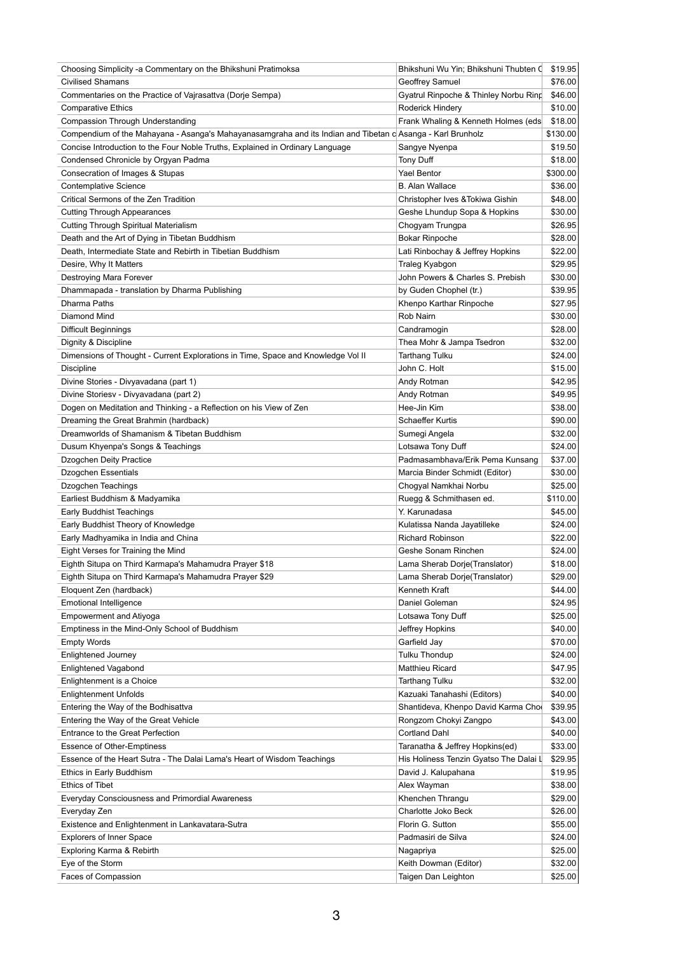| Choosing Simplicity -a Commentary on the Bhikshuni Pratimoksa                                              | Bhikshuni Wu Yin; Bhikshuni Thubten (        | \$19.95            |
|------------------------------------------------------------------------------------------------------------|----------------------------------------------|--------------------|
| <b>Civilised Shamans</b>                                                                                   | Geoffrey Samuel                              | \$76.00            |
| Commentaries on the Practice of Vajrasattva (Dorje Sempa)                                                  | Gyatrul Rinpoche & Thinley Norbu Ring        | \$46.00            |
| <b>Comparative Ethics</b>                                                                                  | Roderick Hindery                             | \$10.00            |
| <b>Compassion Through Understanding</b>                                                                    | Frank Whaling & Kenneth Holmes (eds          | \$18.00            |
| Compendium of the Mahayana - Asanga's Mahayanasamgraha and its Indian and Tibetan c Asanga - Karl Brunholz |                                              | \$130.00           |
| Concise Introduction to the Four Noble Truths, Explained in Ordinary Language                              | Sangye Nyenpa                                | \$19.50            |
| Condensed Chronicle by Orgyan Padma                                                                        | Tony Duff                                    | \$18.00            |
| Consecration of Images & Stupas                                                                            | <b>Yael Bentor</b>                           | \$300.00           |
|                                                                                                            | <b>B.</b> Alan Wallace                       | \$36.00            |
| <b>Contemplative Science</b>                                                                               |                                              |                    |
| Critical Sermons of the Zen Tradition                                                                      | Christopher Ives & Tokiwa Gishin             | \$48.00            |
| <b>Cutting Through Appearances</b>                                                                         | Geshe Lhundup Sopa & Hopkins                 | \$30.00            |
| <b>Cutting Through Spiritual Materialism</b>                                                               | Chogyam Trungpa                              | \$26.95            |
| Death and the Art of Dying in Tibetan Buddhism                                                             | <b>Bokar Rinpoche</b>                        | \$28.00            |
| Death, Intermediate State and Rebirth in Tibetian Buddhism                                                 | Lati Rinbochay & Jeffrey Hopkins             | \$22.00            |
| Desire, Why It Matters                                                                                     | Traleg Kyabgon                               | \$29.95            |
| Destroying Mara Forever                                                                                    | John Powers & Charles S. Prebish             | \$30.00            |
| Dhammapada - translation by Dharma Publishing                                                              | by Guden Chophel (tr.)                       | \$39.95            |
| Dharma Paths                                                                                               | Khenpo Karthar Rinpoche                      | \$27.95            |
| Diamond Mind                                                                                               | Rob Nairn                                    | \$30.00            |
| <b>Difficult Beginnings</b>                                                                                | Candramogin                                  | \$28.00            |
| Dignity & Discipline                                                                                       | Thea Mohr & Jampa Tsedron                    | \$32.00            |
| Dimensions of Thought - Current Explorations in Time, Space and Knowledge Vol II                           | <b>Tarthang Tulku</b>                        | \$24.00            |
|                                                                                                            | John C. Holt                                 |                    |
| Discipline                                                                                                 |                                              | \$15.00            |
| Divine Stories - Divyavadana (part 1)                                                                      | Andy Rotman                                  | \$42.95            |
| Divine Storiesv - Divyavadana (part 2)                                                                     | Andy Rotman                                  | \$49.95            |
| Dogen on Meditation and Thinking - a Reflection on his View of Zen                                         | Hee-Jin Kim                                  | \$38.00            |
| Dreaming the Great Brahmin (hardback)                                                                      | Schaeffer Kurtis                             | \$90.00            |
| Dreamworlds of Shamanism & Tibetan Buddhism                                                                | Sumegi Angela                                | \$32.00            |
| Dusum Khyenpa's Songs & Teachings                                                                          | Lotsawa Tony Duff                            | \$24.00            |
| Dzogchen Deity Practice                                                                                    | Padmasambhava/Erik Pema Kunsang              | \$37.00            |
| <b>Dzogchen Essentials</b>                                                                                 | Marcia Binder Schmidt (Editor)               | \$30.00            |
| Dzogchen Teachings                                                                                         | Chogyal Namkhai Norbu                        | \$25.00            |
| Earliest Buddhism & Madyamika                                                                              | Ruegg & Schmithasen ed.                      | \$110.00           |
| Early Buddhist Teachings                                                                                   | Y. Karunadasa                                | \$45.00            |
| Early Buddhist Theory of Knowledge                                                                         | Kulatissa Nanda Jayatilleke                  | \$24.00            |
| Early Madhyamika in India and China                                                                        | <b>Richard Robinson</b>                      | \$22.00            |
| Eight Verses for Training the Mind                                                                         | Geshe Sonam Rinchen                          | \$24.00            |
|                                                                                                            |                                              |                    |
| Eighth Situpa on Third Karmapa's Mahamudra Prayer \$18                                                     | Lama Sherab Dorje(Translator)                | \$18.00            |
| Eighth Situpa on Third Karmapa's Mahamudra Prayer \$29                                                     | Lama Sherab Dorje(Translator)                | \$29.00            |
| Eloquent Zen (hardback)                                                                                    | Kenneth Kraft                                | \$44.00            |
| <b>Emotional Intelligence</b>                                                                              | Daniel Goleman                               | \$24.95            |
| <b>Empowerment and Atiyoga</b>                                                                             | Lotsawa Tony Duff                            | \$25.00            |
| Emptiness in the Mind-Only School of Buddhism                                                              | Jeffrey Hopkins                              | \$40.00            |
| <b>Empty Words</b>                                                                                         | Garfield Jay                                 | \$70.00            |
| Enlightened Journey                                                                                        | <b>Tulku Thondup</b>                         | \$24.00            |
| Enlightened Vagabond                                                                                       | Matthieu Ricard                              | \$47.95            |
| Enlightenment is a Choice                                                                                  | <b>Tarthang Tulku</b>                        | \$32.00            |
| <b>Enlightenment Unfolds</b>                                                                               | Kazuaki Tanahashi (Editors)                  | \$40.00            |
| Entering the Way of the Bodhisattva                                                                        | Shantideva, Khenpo David Karma Cho           | \$39.95            |
|                                                                                                            | Rongzom Chokyi Zangpo                        |                    |
| Entering the Way of the Great Vehicle                                                                      |                                              | \$43.00            |
| <b>Entrance to the Great Perfection</b>                                                                    | <b>Cortland Dahl</b>                         | \$40.00            |
| <b>Essence of Other-Emptiness</b>                                                                          | Taranatha & Jeffrey Hopkins(ed)              | \$33.00            |
| Essence of the Heart Sutra - The Dalai Lama's Heart of Wisdom Teachings                                    | His Holiness Tenzin Gyatso The Dalai L       | \$29.95            |
| Ethics in Early Buddhism                                                                                   | David J. Kalupahana                          | \$19.95            |
| <b>Ethics of Tibet</b>                                                                                     | Alex Wayman                                  | \$38.00            |
| Everyday Consciousness and Primordial Awareness                                                            | Khenchen Thrangu                             | \$29.00            |
| Everyday Zen                                                                                               | Charlotte Joko Beck                          | \$26.00            |
| Existence and Enlightenment in Lankavatara-Sutra                                                           | Florin G. Sutton                             | \$55.00            |
| <b>Explorers of Inner Space</b>                                                                            | Padmasiri de Silva                           | \$24.00            |
| Exploring Karma & Rebirth                                                                                  | Nagapriya                                    | \$25.00            |
| Eye of the Storm                                                                                           |                                              |                    |
|                                                                                                            |                                              |                    |
| Faces of Compassion                                                                                        | Keith Dowman (Editor)<br>Taigen Dan Leighton | \$32.00<br>\$25.00 |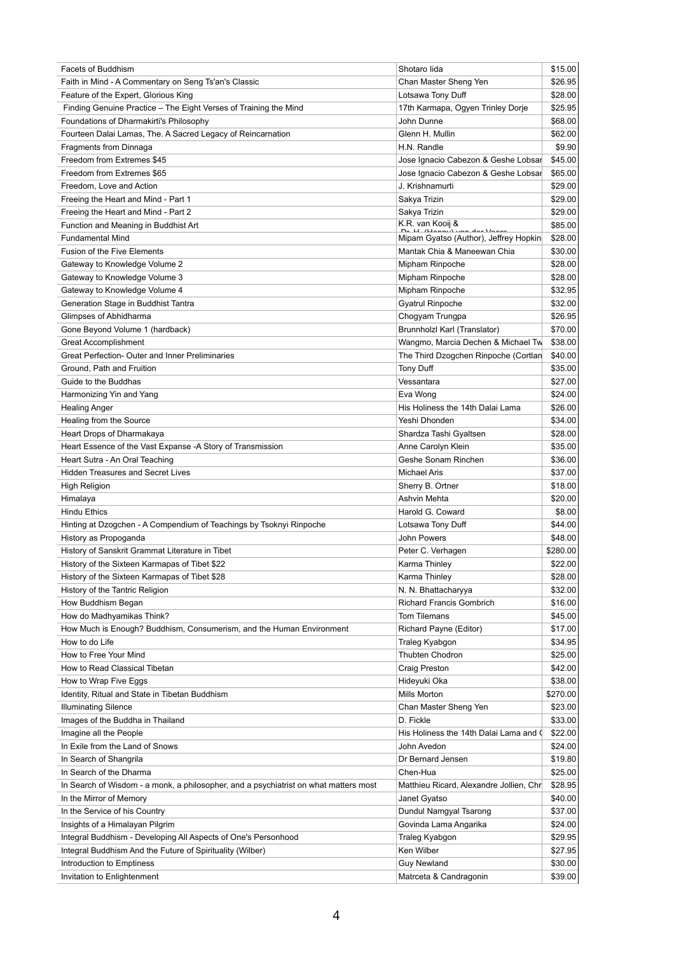| <b>Facets of Buddhism</b>                                                            | Shotaro lida                            | \$15.00  |
|--------------------------------------------------------------------------------------|-----------------------------------------|----------|
| Faith in Mind - A Commentary on Seng Ts'an's Classic                                 | Chan Master Sheng Yen                   | \$26.95  |
| Feature of the Expert, Glorious King                                                 | Lotsawa Tony Duff                       | \$28.00  |
| Finding Genuine Practice - The Eight Verses of Training the Mind                     | 17th Karmapa, Ogyen Trinley Dorje       | \$25.95  |
| Foundations of Dharmakirti's Philosophy                                              | John Dunne                              | \$68.00  |
| Fourteen Dalai Lamas, The. A Sacred Legacy of Reincarnation                          | Glenn H. Mullin                         | \$62.00  |
| Fragments from Dinnaga                                                               | H.N. Randle                             | \$9.90   |
| Freedom from Extremes \$45                                                           | Jose Ignacio Cabezon & Geshe Lobsar     | \$45.00  |
| Freedom from Extremes \$65                                                           | Jose Ignacio Cabezon & Geshe Lobsar     | \$65.00  |
| Freedom, Love and Action                                                             | J. Krishnamurti                         | \$29.00  |
|                                                                                      |                                         | \$29.00  |
| Freeing the Heart and Mind - Part 1                                                  | Sakya Trizin                            |          |
| Freeing the Heart and Mind - Part 2                                                  | Sakya Trizin<br>K.R. van Kooij &        | \$29.00  |
| Function and Meaning in Buddhist Art                                                 |                                         | \$85.00  |
| <b>Fundamental Mind</b>                                                              | Mipam Gyatso (Author), Jeffrey Hopkin   | \$28.00  |
| <b>Fusion of the Five Elements</b>                                                   | Mantak Chia & Maneewan Chia             | \$30.00  |
| Gateway to Knowledge Volume 2                                                        | Mipham Rinpoche                         | \$28.00  |
| Gateway to Knowledge Volume 3                                                        | Mipham Rinpoche                         | \$28.00  |
| Gateway to Knowledge Volume 4                                                        | Mipham Rinpoche                         | \$32.95  |
| Generation Stage in Buddhist Tantra                                                  | <b>Gyatrul Rinpoche</b>                 | \$32.00  |
| Glimpses of Abhidharma                                                               | Chogyam Trungpa                         | \$26.95  |
| Gone Beyond Volume 1 (hardback)                                                      | Brunnholzl Karl (Translator)            | \$70.00  |
| <b>Great Accomplishment</b>                                                          | Wangmo, Marcia Dechen & Michael Tw      | \$38.00  |
| <b>Great Perfection- Outer and Inner Preliminaries</b>                               | The Third Dzogchen Rinpoche (Cortlan    | \$40.00  |
| Ground, Path and Fruition                                                            | Tony Duff                               | \$35.00  |
|                                                                                      |                                         |          |
| Guide to the Buddhas                                                                 | Vessantara                              | \$27.00  |
| Harmonizing Yin and Yang                                                             | Eva Wong                                | \$24.00  |
| <b>Healing Anger</b>                                                                 | His Holiness the 14th Dalai Lama        | \$26.00  |
| Healing from the Source                                                              | Yeshi Dhonden                           | \$34.00  |
| Heart Drops of Dharmakaya                                                            | Shardza Tashi Gyaltsen                  | \$28.00  |
| Heart Essence of the Vast Expanse -A Story of Transmission                           | Anne Carolyn Klein                      | \$35.00  |
| Heart Sutra - An Oral Teaching                                                       | Geshe Sonam Rinchen                     | \$36.00  |
| <b>Hidden Treasures and Secret Lives</b>                                             | <b>Michael Aris</b>                     | \$37.00  |
| <b>High Religion</b>                                                                 | Sherry B. Ortner                        | \$18.00  |
| Himalaya                                                                             | Ashvin Mehta                            | \$20.00  |
| <b>Hindu Ethics</b>                                                                  | Harold G. Coward                        | \$8.00   |
| Hinting at Dzogchen - A Compendium of Teachings by Tsoknyi Rinpoche                  | Lotsawa Tony Duff                       | \$44.00  |
| History as Propoganda                                                                | John Powers                             | \$48.00  |
| History of Sanskrit Grammat Literature in Tibet                                      | Peter C. Verhagen                       | \$280.00 |
|                                                                                      | Karma Thinley                           | \$22.00  |
| History of the Sixteen Karmapas of Tibet \$22                                        |                                         |          |
| History of the Sixteen Karmapas of Tibet \$28                                        | Karma Thinley                           | \$28.00  |
| History of the Tantric Religion                                                      | N. N. Bhattacharyya                     | \$32.00  |
| How Buddhism Began                                                                   | <b>Richard Francis Gombrich</b>         | \$16.00  |
| How do Madhyamikas Think?                                                            | <b>Tom Tilemans</b>                     | \$45.00  |
| How Much is Enough? Buddhism, Consumerism, and the Human Environment                 | Richard Payne (Editor)                  | \$17.00  |
| How to do Life                                                                       | Traleg Kyabgon                          | \$34.95  |
| How to Free Your Mind                                                                | Thubten Chodron                         | \$25.00  |
| How to Read Classical Tibetan                                                        | <b>Craig Preston</b>                    | \$42.00  |
| How to Wrap Five Eggs                                                                | Hideyuki Oka                            | \$38.00  |
| Identity, Ritual and State in Tibetan Buddhism                                       | Mills Morton                            | \$270.00 |
| <b>Illuminating Silence</b>                                                          | Chan Master Sheng Yen                   | \$23.00  |
| Images of the Buddha in Thailand                                                     | D. Fickle                               | \$33.00  |
| Imagine all the People                                                               | His Holiness the 14th Dalai Lama and (  | \$22.00  |
| In Exile from the Land of Snows                                                      | John Avedon                             | \$24.00  |
|                                                                                      |                                         |          |
| In Search of Shangrila                                                               | Dr Bernard Jensen                       | \$19.80  |
| In Search of the Dharma                                                              | Chen-Hua                                | \$25.00  |
| In Search of Wisdom - a monk, a philosopher, and a psychiatrist on what matters most | Matthieu Ricard, Alexandre Jollien, Chr | \$28.95  |
| In the Mirror of Memory                                                              | Janet Gyatso                            | \$40.00  |
| In the Service of his Country                                                        | Dundul Namgyal Tsarong                  | \$37.00  |
| Insights of a Himalayan Pilgrim                                                      | Govinda Lama Angarika                   | \$24.00  |
| Integral Buddhism - Developing All Aspects of One's Personhood                       | Traleg Kyabgon                          | \$29.95  |
| Integral Buddhism And the Future of Spirituality (Wilber)                            | Ken Wilber                              | \$27.95  |
| Introduction to Emptiness                                                            | <b>Guy Newland</b>                      | \$30.00  |
| Invitation to Enlightenment                                                          | Matrceta & Candragonin                  | \$39.00  |
|                                                                                      |                                         |          |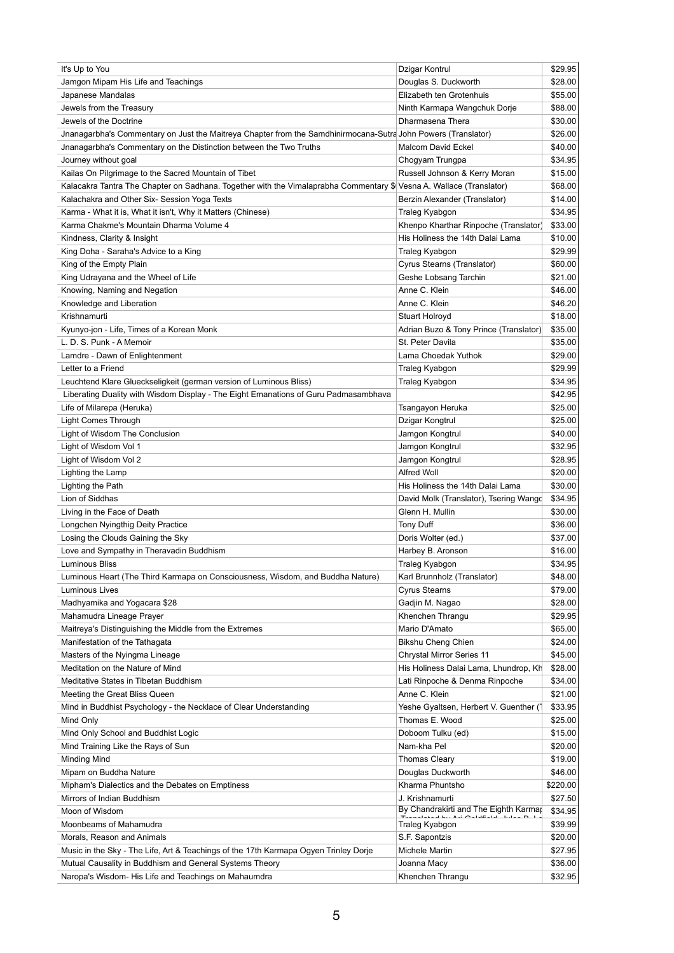| It's Up to You                                                                                                      | Dzigar Kontrul                         | \$29.95  |
|---------------------------------------------------------------------------------------------------------------------|----------------------------------------|----------|
| Jamgon Mipam His Life and Teachings                                                                                 | Douglas S. Duckworth                   | \$28.00  |
| Japanese Mandalas                                                                                                   | Elizabeth ten Grotenhuis               | \$55.00  |
| Jewels from the Treasury                                                                                            | Ninth Karmapa Wangchuk Dorje           | \$88.00  |
| Jewels of the Doctrine                                                                                              | Dharmasena Thera                       | \$30.00  |
| Jnanagarbha's Commentary on Just the Maitreya Chapter from the Samdhinirmocana-Sutra John Powers (Translator)       |                                        | \$26.00  |
| Jnanagarbha's Commentary on the Distinction between the Two Truths                                                  | <b>Malcom David Eckel</b>              |          |
|                                                                                                                     |                                        | \$40.00  |
| Journey without goal                                                                                                | Chogyam Trungpa                        | \$34.95  |
| Kailas On Pilgrimage to the Sacred Mountain of Tibet                                                                | Russell Johnson & Kerry Moran          | \$15.00  |
| Kalacakra Tantra The Chapter on Sadhana. Together with the Vimalaprabha Commentary \$ Vesna A. Wallace (Translator) |                                        | \$68.00  |
| Kalachakra and Other Six- Session Yoga Texts                                                                        | Berzin Alexander (Translator)          | \$14.00  |
| Karma - What it is, What it isn't, Why it Matters (Chinese)                                                         | Traleg Kyabgon                         | \$34.95  |
| Karma Chakme's Mountain Dharma Volume 4                                                                             | Khenpo Kharthar Rinpoche (Translator)  | \$33.00  |
| Kindness, Clarity & Insight                                                                                         | His Holiness the 14th Dalai Lama       | \$10.00  |
| King Doha - Saraha's Advice to a King                                                                               | Traleg Kyabgon                         | \$29.99  |
| King of the Empty Plain                                                                                             | Cyrus Stearns (Translator)             | \$60.00  |
| King Udrayana and the Wheel of Life                                                                                 | Geshe Lobsang Tarchin                  | \$21.00  |
| Knowing, Naming and Negation                                                                                        | Anne C. Klein                          | \$46.00  |
| Knowledge and Liberation                                                                                            | Anne C. Klein                          | \$46.20  |
| Krishnamurti                                                                                                        | <b>Stuart Holroyd</b>                  | \$18.00  |
| Kyunyo-jon - Life, Times of a Korean Monk                                                                           | Adrian Buzo & Tony Prince (Translator) | \$35.00  |
| L. D. S. Punk - A Memoir                                                                                            | St. Peter Davila                       | \$35.00  |
|                                                                                                                     |                                        |          |
| Lamdre - Dawn of Enlightenment                                                                                      | Lama Choedak Yuthok                    | \$29.00  |
| Letter to a Friend                                                                                                  | Traleg Kyabgon                         | \$29.99  |
| Leuchtend Klare Glueckseligkeit (german version of Luminous Bliss)                                                  | Traleg Kyabgon                         | \$34.95  |
| Liberating Duality with Wisdom Display - The Eight Emanations of Guru Padmasambhava                                 |                                        | \$42.95  |
| Life of Milarepa (Heruka)                                                                                           | Tsangayon Heruka                       | \$25.00  |
| Light Comes Through                                                                                                 | Dzigar Kongtrul                        | \$25.00  |
| Light of Wisdom The Conclusion                                                                                      | Jamgon Kongtrul                        | \$40.00  |
| Light of Wisdom Vol 1                                                                                               | Jamgon Kongtrul                        | \$32.95  |
| Light of Wisdom Vol 2                                                                                               | Jamgon Kongtrul                        | \$28.95  |
| Lighting the Lamp                                                                                                   | <b>Alfred Woll</b>                     | \$20.00  |
| Lighting the Path                                                                                                   | His Holiness the 14th Dalai Lama       | \$30.00  |
| Lion of Siddhas                                                                                                     | David Molk (Translator), Tsering Wangd | \$34.95  |
| Living in the Face of Death                                                                                         | Glenn H. Mullin                        | \$30.00  |
| Longchen Nyingthig Deity Practice                                                                                   | <b>Tony Duff</b>                       | \$36.00  |
|                                                                                                                     |                                        |          |
| Losing the Clouds Gaining the Sky                                                                                   | Doris Wolter (ed.)                     | \$37.00  |
| Love and Sympathy in Theravadin Buddhism                                                                            | Harbey B. Aronson                      | \$16.00  |
| <b>Luminous Bliss</b>                                                                                               | Traleg Kyabgon                         | \$34.95  |
| Luminous Heart (The Third Karmapa on Consciousness, Wisdom, and Buddha Nature)                                      | Karl Brunnholz (Translator)            | \$48.00  |
| Luminous Lives                                                                                                      | <b>Cyrus Stearns</b>                   | \$79.00  |
| Madhyamika and Yogacara \$28                                                                                        | Gadjin M. Nagao                        | \$28.00  |
| Mahamudra Lineage Prayer                                                                                            | Khenchen Thrangu                       | \$29.95  |
| Maitreya's Distinguishing the Middle from the Extremes                                                              | Mario D'Amato                          | \$65.00  |
| Manifestation of the Tathagata                                                                                      | <b>Bikshu Cheng Chien</b>              | \$24.00  |
| Masters of the Nyingma Lineage                                                                                      | <b>Chrystal Mirror Series 11</b>       | \$45.00  |
| Meditation on the Nature of Mind                                                                                    | His Holiness Dalai Lama, Lhundrop, Kh  | \$28.00  |
| Meditative States in Tibetan Buddhism                                                                               | Lati Rinpoche & Denma Rinpoche         | \$34.00  |
| Meeting the Great Bliss Queen                                                                                       | Anne C. Klein                          | \$21.00  |
|                                                                                                                     |                                        |          |
| Mind in Buddhist Psychology - the Necklace of Clear Understanding                                                   | Yeshe Gyaltsen, Herbert V. Guenther (  | \$33.95  |
| Mind Only                                                                                                           | Thomas E. Wood                         | \$25.00  |
| Mind Only School and Buddhist Logic                                                                                 | Doboom Tulku (ed)                      | \$15.00  |
| Mind Training Like the Rays of Sun                                                                                  | Nam-kha Pel                            | \$20.00  |
| <b>Minding Mind</b>                                                                                                 | <b>Thomas Cleary</b>                   | \$19.00  |
| Mipam on Buddha Nature                                                                                              | Douglas Duckworth                      | \$46.00  |
| Mipham's Dialectics and the Debates on Emptiness                                                                    | Kharma Phuntsho                        | \$220.00 |
| Mirrors of Indian Buddhism                                                                                          | J. Krishnamurti                        | \$27.50  |
| Moon of Wisdom                                                                                                      | By Chandrakirti and The Eighth Karmar  | \$34.95  |
| Moonbeams of Mahamudra                                                                                              | Traleg Kyabgon                         | \$39.99  |
| Morals, Reason and Animals                                                                                          | S.F. Sapontzis                         | \$20.00  |
| Music in the Sky - The Life, Art & Teachings of the 17th Karmapa Ogyen Trinley Dorie                                | Michele Martin                         | \$27.95  |
|                                                                                                                     |                                        |          |
| Mutual Causality in Buddhism and General Systems Theory                                                             | Joanna Macy                            | \$36.00  |
| Naropa's Wisdom- His Life and Teachings on Mahaumdra                                                                | Khenchen Thrangu                       | \$32.95  |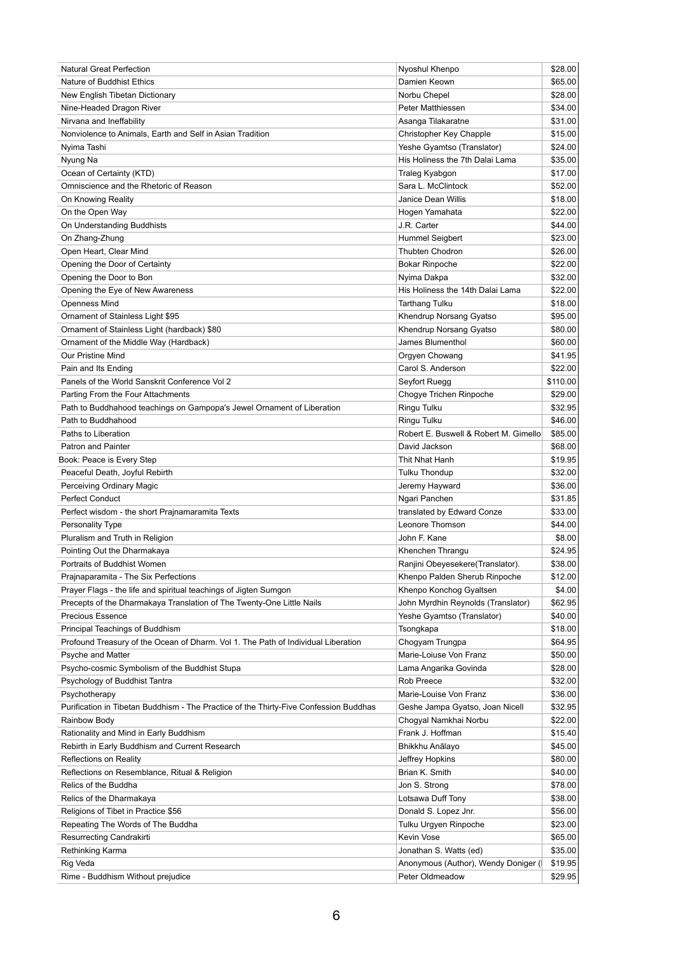| <b>Natural Great Perfection</b>                                                       | Nyoshul Khenpo                        | \$28.00  |
|---------------------------------------------------------------------------------------|---------------------------------------|----------|
| Nature of Buddhist Ethics                                                             | Damien Keown                          | \$65.00  |
| New English Tibetan Dictionary                                                        | Norbu Chepel                          | \$28.00  |
| Nine-Headed Dragon River                                                              | <b>Peter Matthiessen</b>              | \$34.00  |
| Nirvana and Ineffability                                                              | Asanga Tilakaratne                    | \$31.00  |
| Nonviolence to Animals, Earth and Self in Asian Tradition                             | Christopher Key Chapple               | \$15.00  |
| Nyima Tashi                                                                           | Yeshe Gyamtso (Translator)            | \$24.00  |
| Nyung Na                                                                              | His Holiness the 7th Dalai Lama       | \$35.00  |
| Ocean of Certainty (KTD)                                                              | Traleg Kyabgon                        | \$17.00  |
| Omniscience and the Rhetoric of Reason                                                | Sara L. McClintock                    | \$52.00  |
| On Knowing Reality                                                                    | <b>Janice Dean Willis</b>             | \$18.00  |
| On the Open Way                                                                       | Hogen Yamahata                        | \$22.00  |
| On Understanding Buddhists                                                            | J.R. Carter                           | \$44.00  |
| On Zhang-Zhung                                                                        | Hummel Seigbert                       | \$23.00  |
|                                                                                       | <b>Thubten Chodron</b>                |          |
| Open Heart, Clear Mind                                                                |                                       | \$26.00  |
| Opening the Door of Certainty                                                         | <b>Bokar Rinpoche</b>                 | \$22.00  |
| Opening the Door to Bon                                                               | Nyima Dakpa                           | \$32.00  |
| Opening the Eye of New Awareness                                                      | His Holiness the 14th Dalai Lama      | \$22.00  |
| <b>Openness Mind</b>                                                                  | <b>Tarthang Tulku</b>                 | \$18.00  |
| Ornament of Stainless Light \$95                                                      | Khendrup Norsang Gyatso               | \$95.00  |
| Ornament of Stainless Light (hardback) \$80                                           | Khendrup Norsang Gyatso               | \$80.00  |
| Ornament of the Middle Way (Hardback)                                                 | James Blumenthol                      | \$60.00  |
| <b>Our Pristine Mind</b>                                                              | Orgyen Chowang                        | \$41.95  |
| Pain and Its Ending                                                                   | Carol S. Anderson                     | \$22.00  |
| Panels of the World Sanskrit Conference Vol 2                                         | Seyfort Ruegg                         | \$110.00 |
| Parting From the Four Attachments                                                     | Chogye Trichen Rinpoche               | \$29.00  |
| Path to Buddhahood teachings on Gampopa's Jewel Ornament of Liberation                | Ringu Tulku                           | \$32.95  |
| Path to Buddhahood                                                                    | Ringu Tulku                           | \$46.00  |
| Paths to Liberation                                                                   | Robert E. Buswell & Robert M. Gimello | \$85.00  |
| Patron and Painter                                                                    |                                       | \$68.00  |
|                                                                                       | David Jackson                         |          |
| Book: Peace is Every Step                                                             | Thit Nhat Hanh                        | \$19.95  |
| Peaceful Death, Joyful Rebirth                                                        | <b>Tulku Thondup</b>                  | \$32.00  |
| Perceiving Ordinary Magic                                                             | Jeremy Hayward                        | \$36.00  |
| <b>Perfect Conduct</b>                                                                | Ngari Panchen                         | \$31.85  |
| Perfect wisdom - the short Prajnamaramita Texts                                       | translated by Edward Conze            | \$33.00  |
| <b>Personality Type</b>                                                               | Leonore Thomson                       | \$44.00  |
| Pluralism and Truth in Religion                                                       | John F. Kane                          | \$8.00   |
| Pointing Out the Dharmakaya                                                           | Khenchen Thrangu                      | \$24.95  |
| Portraits of Buddhist Women                                                           | Ranjini Obeyesekere(Translator).      | \$38.00  |
| Prajnaparamita - The Six Perfections                                                  | Khenpo Palden Sherub Rinpoche         | \$12.00  |
| Prayer Flags - the life and spiritual teachings of Jigten Sumgon                      | Khenpo Konchog Gyaltsen               | \$4.00   |
| Precepts of the Dharmakaya Translation of The Twenty-One Little Nails                 | John Myrdhin Reynolds (Translator)    | \$62.95  |
| <b>Precious Essence</b>                                                               | Yeshe Gyamtso (Translator)            | \$40.00  |
| Principal Teachings of Buddhism                                                       | Tsongkapa                             | \$18.00  |
| Profound Treasury of the Ocean of Dharm. Vol 1. The Path of Individual Liberation     | Chogyam Trungpa                       | \$64.95  |
| Psyche and Matter                                                                     | Marie-Loiuse Von Franz                | \$50.00  |
| Psycho-cosmic Symbolism of the Buddhist Stupa                                         | Lama Angarika Govinda                 | \$28.00  |
|                                                                                       |                                       |          |
| Psychology of Buddhist Tantra                                                         | <b>Rob Preece</b>                     | \$32.00  |
| Psychotherapy                                                                         | Marie-Louise Von Franz                | \$36.00  |
| Purification in Tibetan Buddhism - The Practice of the Thirty-Five Confession Buddhas | Geshe Jampa Gyatso, Joan Nicell       | \$32.95  |
| Rainbow Body                                                                          | Chogyal Namkhai Norbu                 | \$22.00  |
| Rationality and Mind in Early Buddhism                                                | Frank J. Hoffman                      | \$15.40  |
| Rebirth in Early Buddhism and Current Research                                        | Bhikkhu Anālayo                       | \$45.00  |
| <b>Reflections on Reality</b>                                                         | Jeffrey Hopkins                       | \$80.00  |
| Reflections on Resemblance, Ritual & Religion                                         | Brian K. Smith                        | \$40.00  |
| Relics of the Buddha                                                                  | Jon S. Strong                         | \$78.00  |
| Relics of the Dharmakaya                                                              | Lotsawa Duff Tony                     | \$38.00  |
| Religions of Tibet in Practice \$56                                                   | Donald S. Lopez Jnr.                  | \$56.00  |
| Repeating The Words of The Buddha                                                     | Tulku Urgyen Rinpoche                 | \$23.00  |
| Resurrecting Candrakirti                                                              | Kevin Vose                            | \$65.00  |
| Rethinking Karma                                                                      | Jonathan S. Watts (ed)                | \$35.00  |
| Rig Veda                                                                              | Anonymous (Author), Wendy Doniger (   | \$19.95  |
|                                                                                       |                                       |          |
| Rime - Buddhism Without prejudice                                                     | Peter Oldmeadow                       | \$29.95  |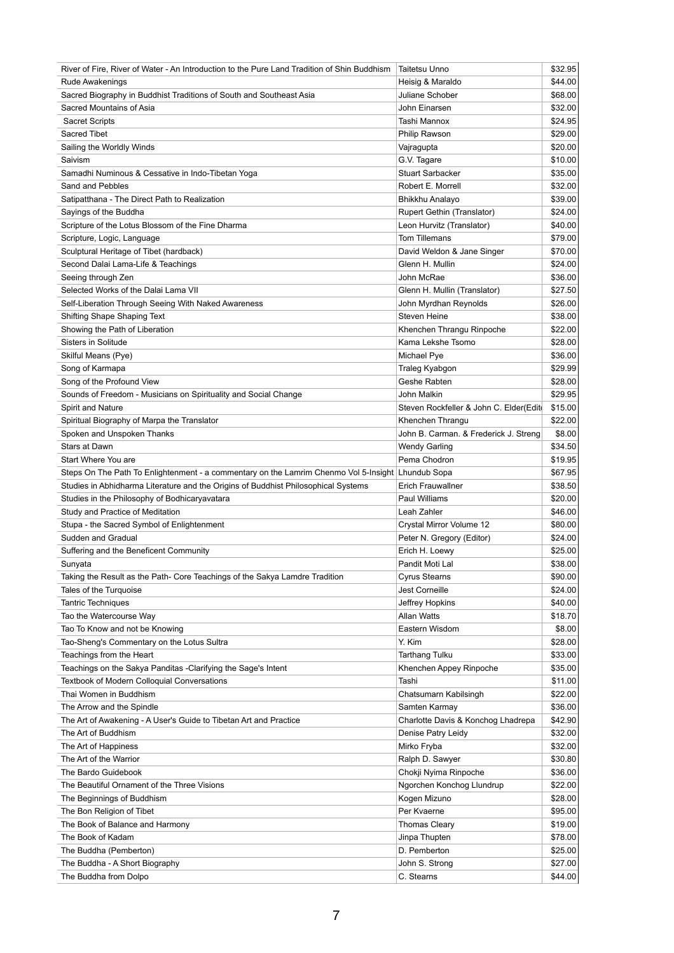| River of Fire, River of Water - An Introduction to the Pure Land Tradition of Shin Buddhism       | <b>Taitetsu Unno</b>                   | \$32.95 |
|---------------------------------------------------------------------------------------------------|----------------------------------------|---------|
| Rude Awakenings                                                                                   | Heisig & Maraldo                       | \$44.00 |
| Sacred Biography in Buddhist Traditions of South and Southeast Asia                               | Juliane Schober                        | \$68.00 |
| Sacred Mountains of Asia                                                                          | John Einarsen                          | \$32.00 |
| <b>Sacret Scripts</b>                                                                             | Tashi Mannox                           | \$24.95 |
| <b>Sacred Tibet</b>                                                                               | Philip Rawson                          | \$29.00 |
| Sailing the Worldly Winds                                                                         | Vajragupta                             | \$20.00 |
| Saivism                                                                                           | G.V. Tagare                            | \$10.00 |
| Samadhi Numinous & Cessative in Indo-Tibetan Yoga                                                 | <b>Stuart Sarbacker</b>                | \$35.00 |
| Sand and Pebbles                                                                                  | Robert E. Morrell                      | \$32.00 |
|                                                                                                   |                                        |         |
| Satipatthana - The Direct Path to Realization                                                     | Bhikkhu Analayo                        | \$39.00 |
| Sayings of the Buddha                                                                             | Rupert Gethin (Translator)             | \$24.00 |
| Scripture of the Lotus Blossom of the Fine Dharma                                                 | Leon Hurvitz (Translator)              | \$40.00 |
| Scripture, Logic, Language                                                                        | <b>Tom Tillemans</b>                   | \$79.00 |
| Sculptural Heritage of Tibet (hardback)                                                           | David Weldon & Jane Singer             | \$70.00 |
| Second Dalai Lama-Life & Teachings                                                                | Glenn H. Mullin                        | \$24.00 |
| Seeing through Zen                                                                                | John McRae                             | \$36.00 |
| Selected Works of the Dalai Lama VII                                                              | Glenn H. Mullin (Translator)           | \$27.50 |
| Self-Liberation Through Seeing With Naked Awareness                                               | John Myrdhan Reynolds                  | \$26.00 |
| <b>Shifting Shape Shaping Text</b>                                                                | Steven Heine                           | \$38.00 |
| Showing the Path of Liberation                                                                    | Khenchen Thrangu Rinpoche              | \$22.00 |
| Sisters in Solitude                                                                               | Kama Lekshe Tsomo                      | \$28.00 |
| Skilful Means (Pye)                                                                               | Michael Pye                            | \$36.00 |
| Song of Karmapa                                                                                   | Traleg Kyabgon                         | \$29.99 |
| Song of the Profound View                                                                         | Geshe Rabten                           | \$28.00 |
| Sounds of Freedom - Musicians on Spirituality and Social Change                                   | John Malkin                            | \$29.95 |
| Spirit and Nature                                                                                 | Steven Rockfeller & John C. Elder(Edit | \$15.00 |
|                                                                                                   |                                        |         |
| Spiritual Biography of Marpa the Translator                                                       | Khenchen Thrangu                       | \$22.00 |
| Spoken and Unspoken Thanks                                                                        | John B. Carman. & Frederick J. Streng  | \$8.00  |
| <b>Stars at Dawn</b>                                                                              | <b>Wendy Garling</b>                   | \$34.50 |
| Start Where You are                                                                               | Pema Chodron                           | \$19.95 |
| Steps On The Path To Enlightenment - a commentary on the Lamrim Chenmo Vol 5-Insight Lhundub Sopa |                                        | \$67.95 |
| Studies in Abhidharma Literature and the Origins of Buddhist Philosophical Systems                | <b>Erich Frauwallner</b>               | \$38.50 |
| Studies in the Philosophy of Bodhicaryavatara                                                     | Paul Williams                          | \$20.00 |
| Study and Practice of Meditation                                                                  | Leah Zahler                            | \$46.00 |
| Stupa - the Sacred Symbol of Enlightenment                                                        | Crystal Mirror Volume 12               | \$80.00 |
| Sudden and Gradual                                                                                | Peter N. Gregory (Editor)              | \$24.00 |
| Suffering and the Beneficent Community                                                            | Erich H. Loewy                         | \$25.00 |
| Sunyata                                                                                           | Pandit Moti Lal                        | \$38.00 |
| Taking the Result as the Path- Core Teachings of the Sakya Lamdre Tradition                       | <b>Cyrus Stearns</b>                   | \$90.00 |
| Tales of the Turquoise                                                                            | <b>Jest Corneille</b>                  | \$24.00 |
| <b>Tantric Techniques</b>                                                                         | Jeffrey Hopkins                        | \$40.00 |
| Tao the Watercourse Way                                                                           | <b>Allan Watts</b>                     | \$18.70 |
| Tao To Know and not be Knowing                                                                    | Eastern Wisdom                         | \$8.00  |
| Tao-Sheng's Commentary on the Lotus Sultra                                                        | Y. Kim                                 | \$28.00 |
| Teachings from the Heart                                                                          | <b>Tarthang Tulku</b>                  | \$33.00 |
|                                                                                                   |                                        |         |
| Teachings on the Sakya Panditas -Clarifying the Sage's Intent                                     | Khenchen Appey Rinpoche                | \$35.00 |
| <b>Textbook of Modern Colloquial Conversations</b>                                                | Tashi                                  | \$11.00 |
| Thai Women in Buddhism                                                                            | Chatsumarn Kabilsingh                  | \$22.00 |
| The Arrow and the Spindle                                                                         | Samten Karmay                          | \$36.00 |
| The Art of Awakening - A User's Guide to Tibetan Art and Practice                                 | Charlotte Davis & Konchog Lhadrepa     | \$42.90 |
| The Art of Buddhism                                                                               | Denise Patry Leidy                     | \$32.00 |
| The Art of Happiness                                                                              | Mirko Fryba                            | \$32.00 |
| The Art of the Warrior                                                                            | Ralph D. Sawyer                        | \$30.80 |
| The Bardo Guidebook                                                                               | Chokji Nyima Rinpoche                  | \$36.00 |
| The Beautiful Ornament of the Three Visions                                                       | Ngorchen Konchog Llundrup              | \$22.00 |
| The Beginnings of Buddhism                                                                        | Kogen Mizuno                           | \$28.00 |
| The Bon Religion of Tibet                                                                         | Per Kvaerne                            | \$95.00 |
| The Book of Balance and Harmony                                                                   | <b>Thomas Cleary</b>                   | \$19.00 |
| The Book of Kadam                                                                                 | Jinpa Thupten                          | \$78.00 |
| The Buddha (Pemberton)                                                                            | D. Pemberton                           | \$25.00 |
| The Buddha - A Short Biography                                                                    | John S. Strong                         | \$27.00 |
| The Buddha from Dolpo                                                                             | C. Stearns                             | \$44.00 |
|                                                                                                   |                                        |         |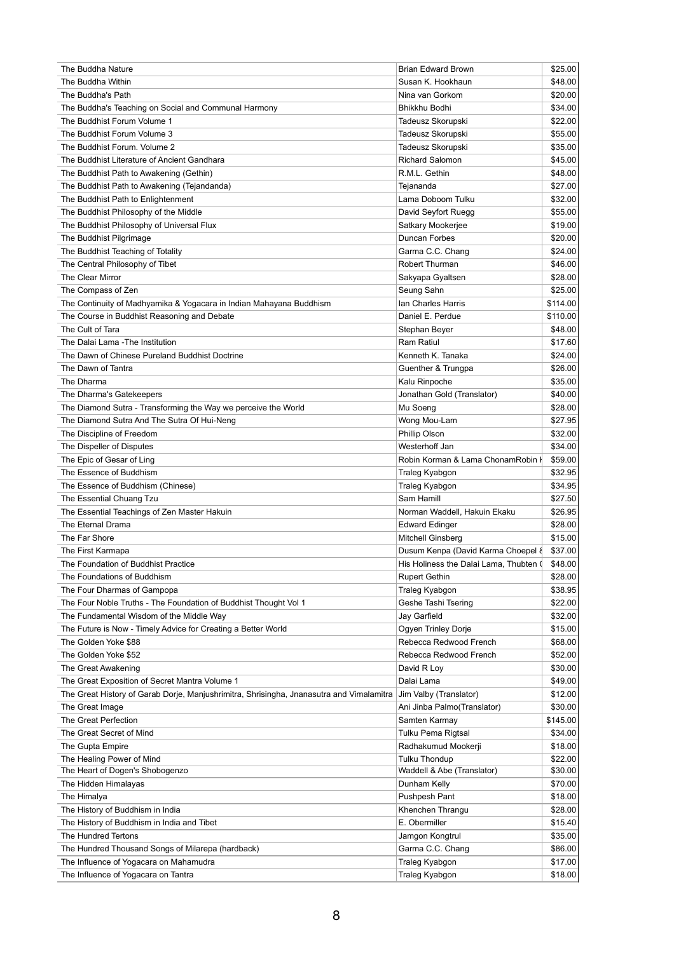| The Buddha Nature                                                                        | <b>Brian Edward Brown</b>              | \$25.00  |
|------------------------------------------------------------------------------------------|----------------------------------------|----------|
| The Buddha Within                                                                        | Susan K. Hookhaun                      | \$48.00  |
| The Buddha's Path                                                                        | Nina van Gorkom                        | \$20.00  |
| The Buddha's Teaching on Social and Communal Harmony                                     | Bhikkhu Bodhi                          | \$34.00  |
| The Buddhist Forum Volume 1                                                              | Tadeusz Skorupski                      | \$22.00  |
| The Buddhist Forum Volume 3                                                              | Tadeusz Skorupski                      | \$55.00  |
| The Buddhist Forum. Volume 2                                                             | Tadeusz Skorupski                      | \$35.00  |
| The Buddhist Literature of Ancient Gandhara                                              | <b>Richard Salomon</b>                 | \$45.00  |
| The Buddhist Path to Awakening (Gethin)                                                  | R.M.L. Gethin                          | \$48.00  |
| The Buddhist Path to Awakening (Tejandanda)                                              | Tejananda                              | \$27.00  |
|                                                                                          | Lama Doboom Tulku                      | \$32.00  |
| The Buddhist Path to Enlightenment                                                       |                                        |          |
| The Buddhist Philosophy of the Middle                                                    | David Seyfort Ruegg                    | \$55.00  |
| The Buddhist Philosophy of Universal Flux                                                | Satkary Mookerjee                      | \$19.00  |
| The Buddhist Pilgrimage                                                                  | Duncan Forbes                          | \$20.00  |
| The Buddhist Teaching of Totality                                                        | Garma C.C. Chang                       | \$24.00  |
| The Central Philosophy of Tibet                                                          | Robert Thurman                         | \$46.00  |
| The Clear Mirror                                                                         | Sakyapa Gyaltsen                       | \$28.00  |
| The Compass of Zen                                                                       | Seung Sahn                             | \$25.00  |
| The Continuity of Madhyamika & Yogacara in Indian Mahayana Buddhism                      | Ian Charles Harris                     | \$114.00 |
| The Course in Buddhist Reasoning and Debate                                              | Daniel E. Perdue                       | \$110.00 |
| The Cult of Tara                                                                         | Stephan Beyer                          | \$48.00  |
| The Dalai Lama - The Institution                                                         | Ram Ratiul                             | \$17.60  |
| The Dawn of Chinese Pureland Buddhist Doctrine                                           | Kenneth K. Tanaka                      | \$24.00  |
| The Dawn of Tantra                                                                       | Guenther & Trungpa                     | \$26.00  |
| The Dharma                                                                               |                                        |          |
|                                                                                          | Kalu Rinpoche                          | \$35.00  |
| The Dharma's Gatekeepers                                                                 | Jonathan Gold (Translator)             | \$40.00  |
| The Diamond Sutra - Transforming the Way we perceive the World                           | Mu Soeng                               | \$28.00  |
| The Diamond Sutra And The Sutra Of Hui-Neng                                              | Wong Mou-Lam                           | \$27.95  |
| The Discipline of Freedom                                                                | Phillip Olson                          | \$32.00  |
| The Dispeller of Disputes                                                                | Westerhoff Jan                         | \$34.00  |
| The Epic of Gesar of Ling                                                                | Robin Korman & Lama ChonamRobin I      | \$59.00  |
| The Essence of Buddhism                                                                  | Traleg Kyabgon                         | \$32.95  |
| The Essence of Buddhism (Chinese)                                                        | Traleg Kyabgon                         | \$34.95  |
| The Essential Chuang Tzu                                                                 | Sam Hamill                             | \$27.50  |
| The Essential Teachings of Zen Master Hakuin                                             | Norman Waddell, Hakuin Ekaku           | \$26.95  |
| The Eternal Drama                                                                        | <b>Edward Edinger</b>                  | \$28.00  |
| The Far Shore                                                                            | <b>Mitchell Ginsberg</b>               | \$15.00  |
| The First Karmapa                                                                        | Dusum Kenpa (David Karma Choepel &     | \$37.00  |
| The Foundation of Buddhist Practice                                                      | His Holiness the Dalai Lama, Thubten ( | \$48.00  |
| The Foundations of Buddhism                                                              |                                        |          |
|                                                                                          | <b>Rupert Gethin</b>                   | \$28.00  |
| The Four Dharmas of Gampopa                                                              | Traleg Kyabgon                         | \$38.95  |
| The Four Noble Truths - The Foundation of Buddhist Thought Vol 1                         | Geshe Tashi Tsering                    | \$22.00  |
| The Fundamental Wisdom of the Middle Way                                                 | Jay Garfield                           | \$32.00  |
| The Future is Now - Timely Advice for Creating a Better World                            | Ogyen Trinley Dorje                    | \$15.00  |
| The Golden Yoke \$88                                                                     | Rebecca Redwood French                 | \$68.00  |
| The Golden Yoke \$52                                                                     | Rebecca Redwood French                 | \$52.00  |
| The Great Awakening                                                                      | David R Loy                            | \$30.00  |
| The Great Exposition of Secret Mantra Volume 1                                           | Dalai Lama                             | \$49.00  |
| The Great History of Garab Dorje, Manjushrimitra, Shrisingha, Jnanasutra and Vimalamitra | Jim Valby (Translator)                 | \$12.00  |
| The Great Image                                                                          | Ani Jinba Palmo(Translator)            | \$30.00  |
| The Great Perfection                                                                     | Samten Karmay                          | \$145.00 |
| The Great Secret of Mind                                                                 | Tulku Pema Rigtsal                     | \$34.00  |
| The Gupta Empire                                                                         | Radhakumud Mookerji                    | \$18.00  |
|                                                                                          |                                        |          |
| The Healing Power of Mind                                                                | <b>Tulku Thondup</b>                   | \$22.00  |
| The Heart of Dogen's Shobogenzo                                                          | Waddell & Abe (Translator)             | \$30.00  |
| The Hidden Himalayas                                                                     | Dunham Kelly                           | \$70.00  |
| The Himalya                                                                              | Pushpesh Pant                          | \$18.00  |
| The History of Buddhism in India                                                         | Khenchen Thrangu                       | \$28.00  |
| The History of Buddhism in India and Tibet                                               | E. Obermiller                          | \$15.40  |
| The Hundred Tertons                                                                      | Jamgon Kongtrul                        | \$35.00  |
| The Hundred Thousand Songs of Milarepa (hardback)                                        | Garma C.C. Chang                       | \$86.00  |
| The Influence of Yogacara on Mahamudra                                                   | Traleg Kyabgon                         | \$17.00  |
| The Influence of Yogacara on Tantra                                                      | Traleg Kyabgon                         | \$18.00  |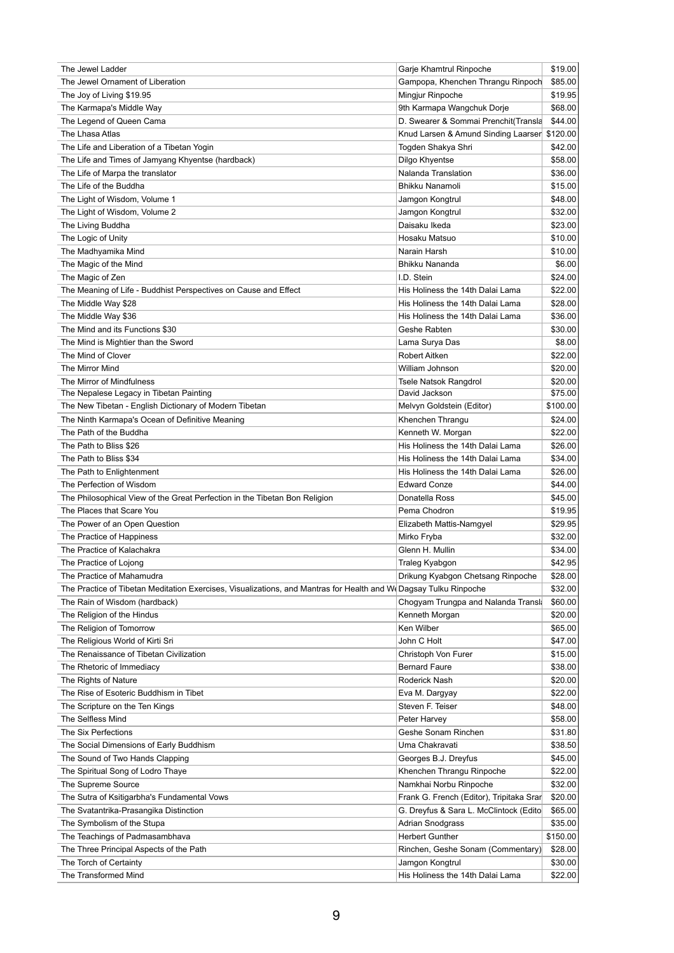| The Jewel Ladder                                                                                                 | Garje Khamtrul Rinpoche                       | \$19.00            |
|------------------------------------------------------------------------------------------------------------------|-----------------------------------------------|--------------------|
| The Jewel Ornament of Liberation                                                                                 | Gampopa, Khenchen Thrangu Rinpoch             | \$85.00            |
| The Joy of Living \$19.95                                                                                        | Mingjur Rinpoche                              | \$19.95            |
| The Karmapa's Middle Way                                                                                         | 9th Karmapa Wangchuk Dorje                    | \$68.00            |
| The Legend of Queen Cama                                                                                         | D. Swearer & Sommai Prenchit(Transla          | \$44.00            |
| The Lhasa Atlas                                                                                                  | Knud Larsen & Amund Sinding Laarser           | \$120.00           |
| The Life and Liberation of a Tibetan Yogin                                                                       | Togden Shakya Shri                            | \$42.00            |
| The Life and Times of Jamyang Khyentse (hardback)                                                                | Dilgo Khyentse                                | \$58.00            |
| The Life of Marpa the translator                                                                                 | Nalanda Translation                           | \$36.00            |
| The Life of the Buddha                                                                                           | <b>Bhikku Nanamoli</b>                        | \$15.00            |
| The Light of Wisdom, Volume 1                                                                                    | Jamgon Kongtrul                               | \$48.00            |
| The Light of Wisdom, Volume 2                                                                                    | Jamgon Kongtrul                               | \$32.00            |
| The Living Buddha                                                                                                | Daisaku Ikeda                                 | \$23.00            |
| The Logic of Unity                                                                                               | Hosaku Matsuo                                 | \$10.00            |
| The Madhyamika Mind                                                                                              | Narain Harsh                                  | \$10.00            |
| The Magic of the Mind                                                                                            | <b>Bhikku Nananda</b>                         | \$6.00             |
| The Magic of Zen                                                                                                 | I.D. Stein                                    | \$24.00            |
| The Meaning of Life - Buddhist Perspectives on Cause and Effect                                                  | His Holiness the 14th Dalai Lama              | \$22.00            |
| The Middle Way \$28                                                                                              | His Holiness the 14th Dalai Lama              | \$28.00            |
| The Middle Way \$36                                                                                              | His Holiness the 14th Dalai Lama              | \$36.00            |
| The Mind and its Functions \$30                                                                                  | Geshe Rabten                                  | \$30.00            |
|                                                                                                                  |                                               | \$8.00             |
| The Mind is Mightier than the Sword<br>The Mind of Clover                                                        | Lama Surya Das<br><b>Robert Aitken</b>        |                    |
|                                                                                                                  |                                               | \$22.00            |
| The Mirror Mind                                                                                                  | William Johnson                               | \$20.00            |
| The Mirror of Mindfulness<br>The Nepalese Legacy in Tibetan Painting                                             | <b>Tsele Natsok Rangdrol</b><br>David Jackson | \$20.00<br>\$75.00 |
| The New Tibetan - English Dictionary of Modern Tibetan                                                           |                                               | \$100.00           |
|                                                                                                                  | Melvyn Goldstein (Editor)                     |                    |
| The Ninth Karmapa's Ocean of Definitive Meaning                                                                  | Khenchen Thrangu                              | \$24.00            |
| The Path of the Buddha                                                                                           | Kenneth W. Morgan                             | \$22.00            |
| The Path to Bliss \$26                                                                                           | His Holiness the 14th Dalai Lama              | \$26.00            |
| The Path to Bliss \$34                                                                                           | His Holiness the 14th Dalai Lama              | \$34.00            |
| The Path to Enlightenment                                                                                        | His Holiness the 14th Dalai Lama              | \$26.00            |
| The Perfection of Wisdom                                                                                         | <b>Edward Conze</b>                           | \$44.00            |
| The Philosophical View of the Great Perfection in the Tibetan Bon Religion                                       | Donatella Ross                                | \$45.00            |
| The Places that Scare You                                                                                        | Pema Chodron                                  | \$19.95            |
| The Power of an Open Question                                                                                    | Elizabeth Mattis-Namgyel                      | \$29.95            |
| The Practice of Happiness                                                                                        | Mirko Fryba                                   | \$32.00            |
| The Practice of Kalachakra                                                                                       | Glenn H. Mullin                               | \$34.00            |
| The Practice of Lojong                                                                                           | Traleg Kyabgon                                | \$42.95            |
| The Practice of Mahamudra                                                                                        | Drikung Kyabgon Chetsang Rinpoche             | \$28.00            |
| The Practice of Tibetan Meditation Exercises, Visualizations, and Mantras for Health and W(Dagsay Tulku Rinpoche |                                               | \$32.00            |
| The Rain of Wisdom (hardback)                                                                                    | Chogyam Trungpa and Nalanda Transla           | \$60.00            |
| The Religion of the Hindus                                                                                       | Kenneth Morgan                                | \$20.00            |
| The Religion of Tomorrow                                                                                         | Ken Wilber                                    | \$65.00            |
| The Religious World of Kirti Sri                                                                                 | John C Holt                                   | \$47.00            |
| The Renaissance of Tibetan Civilization                                                                          | Christoph Von Furer                           | \$15.00            |
| The Rhetoric of Immediacy                                                                                        | <b>Bernard Faure</b>                          | \$38.00            |
| The Rights of Nature                                                                                             | Roderick Nash                                 | \$20.00            |
| The Rise of Esoteric Buddhism in Tibet                                                                           | Eva M. Dargyay                                | \$22.00            |
| The Scripture on the Ten Kings                                                                                   | Steven F. Teiser                              | \$48.00            |
| The Selfless Mind                                                                                                | Peter Harvey                                  | \$58.00            |
| The Six Perfections                                                                                              | Geshe Sonam Rinchen                           | \$31.80            |
| The Social Dimensions of Early Ruddhism                                                                          | <b>Ilma Chakravati</b>                        | 438 F <sub>0</sub> |

| Uma Chakravati                           | \$38.50  |
|------------------------------------------|----------|
| Georges B.J. Dreyfus                     | \$45.00  |
| Khenchen Thrangu Rinpoche                | \$22.00  |
| Namkhai Norbu Rinpoche                   | \$32.00  |
| Frank G. French (Editor), Tripitaka Srar | \$20.00  |
| G. Dreyfus & Sara L. McClintock (Edito   | \$65.00  |
| <b>Adrian Snodgrass</b>                  | \$35.00  |
| <b>Herbert Gunther</b>                   | \$150.00 |
| Rinchen, Geshe Sonam (Commentary)        | \$28.00  |
| Jamgon Kongtrul                          | \$30.00  |
| His Holiness the 14th Dalai Lama         | \$22.00  |
|                                          |          |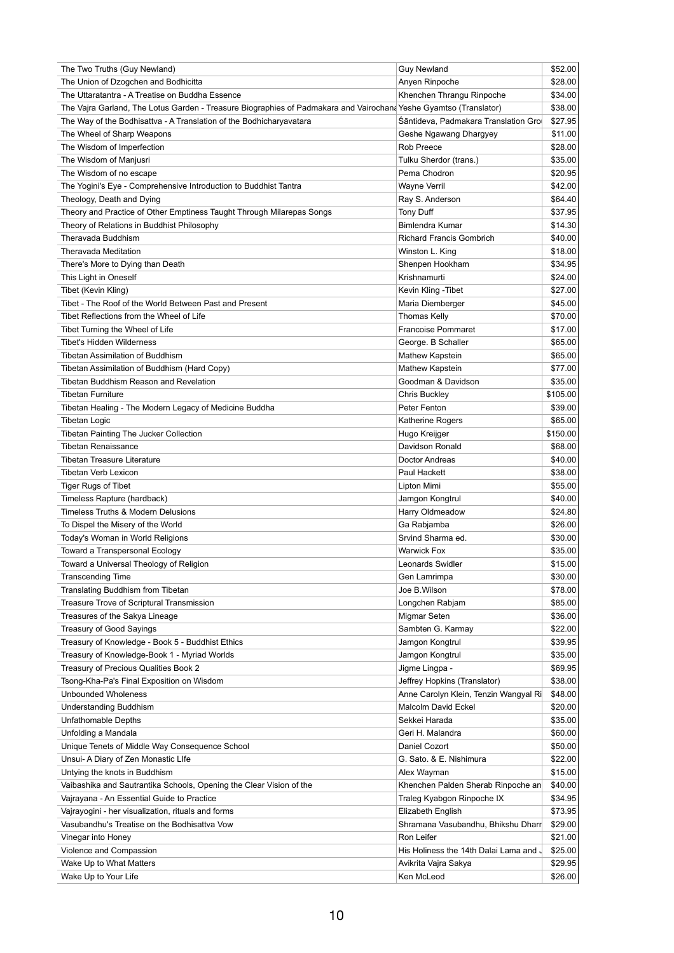| The Two Truths (Guy Newland)                                                                                      | <b>Guy Newland</b>                     | \$52.00  |
|-------------------------------------------------------------------------------------------------------------------|----------------------------------------|----------|
| The Union of Dzogchen and Bodhicitta                                                                              | Anyen Rinpoche                         | \$28.00  |
| The Uttaratantra - A Treatise on Buddha Essence                                                                   | Khenchen Thrangu Rinpoche              | \$34.00  |
| The Vajra Garland, The Lotus Garden - Treasure Biographies of Padmakara and Vairochan: Yeshe Gyamtso (Translator) |                                        | \$38.00  |
| The Way of the Bodhisattva - A Translation of the Bodhicharyavatara                                               | Śāntideva, Padmakara Translation Gro   | \$27.95  |
| The Wheel of Sharp Weapons                                                                                        | Geshe Ngawang Dhargyey                 | \$11.00  |
| The Wisdom of Imperfection                                                                                        | Rob Preece                             | \$28.00  |
| The Wisdom of Manjusri                                                                                            | Tulku Sherdor (trans.)                 | \$35.00  |
| The Wisdom of no escape                                                                                           | Pema Chodron                           | \$20.95  |
| The Yogini's Eye - Comprehensive Introduction to Buddhist Tantra                                                  | <b>Wayne Verril</b>                    | \$42.00  |
| Theology, Death and Dying                                                                                         | Ray S. Anderson                        | \$64.40  |
| Theory and Practice of Other Emptiness Taught Through Milarepas Songs                                             | Tony Duff                              | \$37.95  |
| Theory of Relations in Buddhist Philosophy                                                                        | Bimlendra Kumar                        | \$14.30  |
| Theravada Buddhism                                                                                                | <b>Richard Francis Gombrich</b>        | \$40.00  |
| <b>Theravada Meditation</b>                                                                                       | Winston L. King                        | \$18.00  |
| There's More to Dying than Death                                                                                  | Shenpen Hookham                        | \$34.95  |
| This Light in Oneself                                                                                             | Krishnamurti                           | \$24.00  |
| Tibet (Kevin Kling)                                                                                               | Kevin Kling - Tibet                    | \$27.00  |
| Tibet - The Roof of the World Between Past and Present                                                            | Maria Diemberger                       | \$45.00  |
| Tibet Reflections from the Wheel of Life                                                                          | <b>Thomas Kelly</b>                    | \$70.00  |
| Tibet Turning the Wheel of Life                                                                                   | <b>Francoise Pommaret</b>              | \$17.00  |
| <b>Tibet's Hidden Wilderness</b>                                                                                  | George. B Schaller                     | \$65.00  |
| <b>Tibetan Assimilation of Buddhism</b>                                                                           | Mathew Kapstein                        | \$65.00  |
| Tibetan Assimilation of Buddhism (Hard Copy)                                                                      | Mathew Kapstein                        | \$77.00  |
| Tibetan Buddhism Reason and Revelation                                                                            | Goodman & Davidson                     | \$35.00  |
| <b>Tibetan Furniture</b>                                                                                          | <b>Chris Buckley</b>                   | \$105.00 |
| Tibetan Healing - The Modern Legacy of Medicine Buddha                                                            | Peter Fenton                           | \$39.00  |
|                                                                                                                   |                                        |          |
| <b>Tibetan Logic</b>                                                                                              | Katherine Rogers                       | \$65.00  |
| Tibetan Painting The Jucker Collection                                                                            | Hugo Kreijger                          | \$150.00 |
| <b>Tibetan Renaissance</b>                                                                                        | Davidson Ronald                        | \$68.00  |
| <b>Tibetan Treasure Literature</b>                                                                                | Doctor Andreas                         | \$40.00  |
| <b>Tibetan Verb Lexicon</b>                                                                                       | Paul Hackett                           | \$38.00  |
| <b>Tiger Rugs of Tibet</b>                                                                                        | Lipton Mimi                            | \$55.00  |
| Timeless Rapture (hardback)                                                                                       | Jamgon Kongtrul                        | \$40.00  |
| <b>Timeless Truths &amp; Modern Delusions</b>                                                                     | Harry Oldmeadow                        | \$24.80  |
| To Dispel the Misery of the World                                                                                 | Ga Rabjamba                            | \$26.00  |
| Today's Woman in World Religions                                                                                  | Srvind Sharma ed.                      | \$30.00  |
| Toward a Transpersonal Ecology                                                                                    | <b>Warwick Fox</b>                     | \$35.00  |
| Toward a Universal Theology of Religion                                                                           | Leonards Swidler                       | \$15.00  |
| <b>Transcending Time</b>                                                                                          | Gen Lamrimpa                           | \$30.00  |
| Translating Buddhism from Tibetan                                                                                 | Joe B.Wilson                           | \$78.00  |
| Treasure Trove of Scriptural Transmission                                                                         | Longchen Rabjam                        | \$85.00  |
| Treasures of the Sakya Lineage                                                                                    | Migmar Seten                           | \$36.00  |
| <b>Treasury of Good Sayings</b>                                                                                   | Sambten G. Karmay                      | \$22.00  |
| Treasury of Knowledge - Book 5 - Buddhist Ethics                                                                  | Jamgon Kongtrul                        | \$39.95  |
| Treasury of Knowledge-Book 1 - Myriad Worlds                                                                      | Jamgon Kongtrul                        | \$35.00  |
| Treasury of Precious Qualities Book 2                                                                             | Jigme Lingpa -                         | \$69.95  |
| Tsong-Kha-Pa's Final Exposition on Wisdom                                                                         | Jeffrey Hopkins (Translator)           | \$38.00  |
| <b>Unbounded Wholeness</b>                                                                                        | Anne Carolyn Klein, Tenzin Wangyal Ri  | \$48.00  |
| <b>Understanding Buddhism</b>                                                                                     | Malcolm David Eckel                    | \$20.00  |
| <b>Unfathomable Depths</b>                                                                                        | Sekkei Harada                          | \$35.00  |
| Unfolding a Mandala                                                                                               | Geri H. Malandra                       | \$60.00  |
| Unique Tenets of Middle Way Consequence School                                                                    | Daniel Cozort                          | \$50.00  |
| Unsui- A Diary of Zen Monastic Llfe                                                                               | G. Sato. & E. Nishimura                | \$22.00  |
| Untying the knots in Buddhism                                                                                     | Alex Wayman                            | \$15.00  |
| Vaibashika and Sautrantika Schools, Opening the Clear Vision of the                                               | Khenchen Palden Sherab Rinpoche an     | \$40.00  |
| Vajrayana - An Essential Guide to Practice                                                                        | Traleg Kyabgon Rinpoche IX             | \$34.95  |
| Vajrayogini - her visualization, rituals and forms                                                                | Elizabeth English                      | \$73.95  |
| Vasubandhu's Treatise on the Bodhisattva Vow                                                                      | Shramana Vasubandhu, Bhikshu Dharr     | \$29.00  |
| Vinegar into Honey                                                                                                | Ron Leifer                             | \$21.00  |
| Violence and Compassion                                                                                           | His Holiness the 14th Dalai Lama and J | \$25.00  |
| Wake Up to What Matters                                                                                           | Avikrita Vajra Sakya                   | \$29.95  |
| Wake Up to Your Life                                                                                              | Ken McLeod                             | \$26.00  |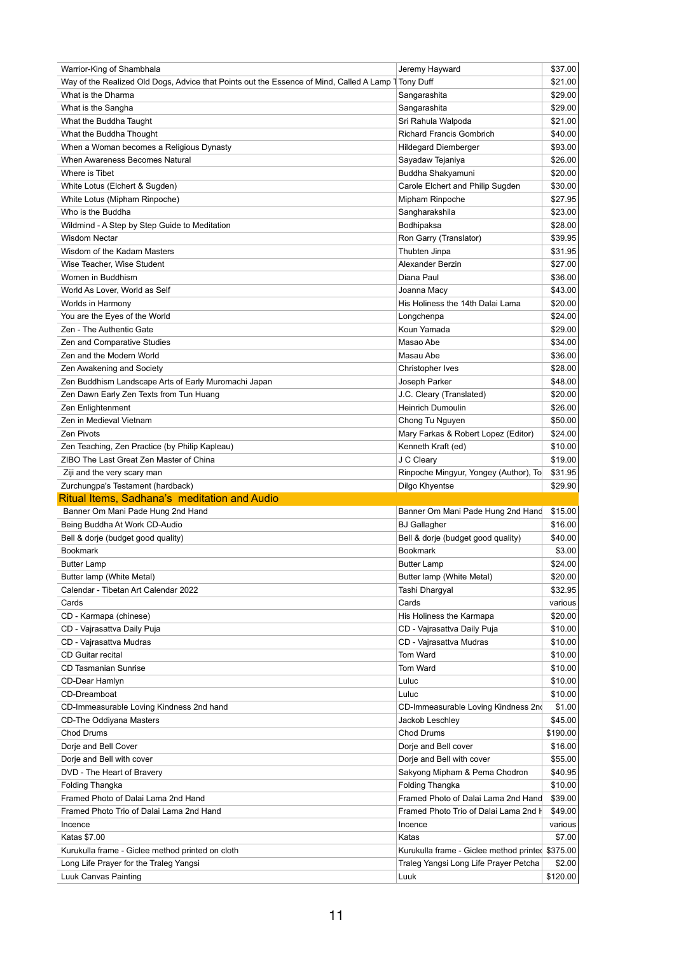| Warrior-King of Shambhala                                                               | Jeremy Hayward                                   | \$37.00  |
|-----------------------------------------------------------------------------------------|--------------------------------------------------|----------|
| Way of the Realized Old Dogs, Advice that Points out the Essence of Mind, Called A Lamp | <b>Tony Duff</b>                                 | \$21.00  |
| What is the Dharma                                                                      | Sangarashita                                     | \$29.00  |
| What is the Sangha                                                                      | Sangarashita                                     | \$29.00  |
| What the Buddha Taught                                                                  | Sri Rahula Walpoda                               | \$21.00  |
| What the Buddha Thought                                                                 | <b>Richard Francis Gombrich</b>                  | \$40.00  |
| When a Woman becomes a Religious Dynasty                                                | <b>Hildegard Diemberger</b>                      | \$93.00  |
| When Awareness Becomes Natural                                                          | Sayadaw Tejaniya                                 | \$26.00  |
| Where is Tibet                                                                          | Buddha Shakyamuni                                | \$20.00  |
| White Lotus (Elchert & Sugden)                                                          | Carole Elchert and Philip Sugden                 | \$30.00  |
| White Lotus (Mipham Rinpoche)                                                           | Mipham Rinpoche                                  | \$27.95  |
| Who is the Buddha                                                                       | Sangharakshila                                   | \$23.00  |
| Wildmind - A Step by Step Guide to Meditation                                           | Bodhipaksa                                       | \$28.00  |
| <b>Wisdom Nectar</b>                                                                    | Ron Garry (Translator)                           | \$39.95  |
|                                                                                         |                                                  |          |
| Wisdom of the Kadam Masters                                                             | Thubten Jinpa                                    | \$31.95  |
| Wise Teacher, Wise Student                                                              | Alexander Berzin                                 | \$27.00  |
| Women in Buddhism                                                                       | Diana Paul                                       | \$36.00  |
| World As Lover, World as Self                                                           | Joanna Macy                                      | \$43.00  |
| Worlds in Harmony                                                                       | His Holiness the 14th Dalai Lama                 | \$20.00  |
| You are the Eyes of the World                                                           | Longchenpa                                       | \$24.00  |
| Zen - The Authentic Gate                                                                | Koun Yamada                                      | \$29.00  |
| Zen and Comparative Studies                                                             | Masao Abe                                        | \$34.00  |
| Zen and the Modern World                                                                | Masau Abe                                        | \$36.00  |
| Zen Awakening and Society                                                               | Christopher Ives                                 | \$28.00  |
| Zen Buddhism Landscape Arts of Early Muromachi Japan                                    | Joseph Parker                                    | \$48.00  |
| Zen Dawn Early Zen Texts from Tun Huang                                                 | J.C. Cleary (Translated)                         | \$20.00  |
| Zen Enlightenment                                                                       | <b>Heinrich Dumoulin</b>                         | \$26.00  |
| Zen in Medieval Vietnam                                                                 | Chong Tu Nguyen                                  | \$50.00  |
| <b>Zen Pivots</b>                                                                       | Mary Farkas & Robert Lopez (Editor)              | \$24.00  |
| Zen Teaching, Zen Practice (by Philip Kapleau)                                          | Kenneth Kraft (ed)                               | \$10.00  |
| ZIBO The Last Great Zen Master of China                                                 | J C Cleary                                       | \$19.00  |
| Ziji and the very scary man                                                             | Rinpoche Mingyur, Yongey (Author), To            | \$31.95  |
| Zurchungpa's Testament (hardback)                                                       | Dilgo Khyentse                                   | \$29.90  |
| Ritual Items, Sadhana's meditation and Audio                                            |                                                  |          |
| Banner Om Mani Pade Hung 2nd Hand                                                       | Banner Om Mani Pade Hung 2nd Hand                | \$15.00  |
| Being Buddha At Work CD-Audio                                                           | <b>BJ</b> Gallagher                              | \$16.00  |
| Bell & dorje (budget good quality)                                                      | Bell & dorje (budget good quality)               | \$40.00  |
| <b>Bookmark</b>                                                                         | <b>Bookmark</b>                                  |          |
|                                                                                         |                                                  | \$3.00   |
| <b>Butter Lamp</b>                                                                      | <b>Butter Lamp</b>                               | \$24.00  |
| Butter lamp (White Metal)                                                               | Butter lamp (White Metal)                        | \$20.00  |
| Calendar - Tibetan Art Calendar 2022                                                    | Tashi Dhargyal                                   | \$32.95  |
| Cards                                                                                   | Cards                                            | various  |
| CD - Karmapa (chinese)                                                                  | His Holiness the Karmapa                         | \$20.00  |
| CD - Vajrasattva Daily Puja                                                             | CD - Vajrasattva Daily Puja                      | \$10.00  |
| CD - Vajrasattva Mudras                                                                 | CD - Vajrasattva Mudras                          | \$10.00  |
| <b>CD Guitar recital</b>                                                                | Tom Ward                                         | \$10.00  |
| <b>CD Tasmanian Sunrise</b>                                                             | Tom Ward                                         | \$10.00  |
| CD-Dear Hamlyn                                                                          | Luluc                                            | \$10.00  |
| CD-Dreamboat                                                                            | Luluc                                            | \$10.00  |
| CD-Immeasurable Loving Kindness 2nd hand                                                | CD-Immeasurable Loving Kindness 2n               | \$1.00   |
| CD-The Oddiyana Masters                                                                 | Jackob Leschley                                  | \$45.00  |
| <b>Chod Drums</b>                                                                       | <b>Chod Drums</b>                                | \$190.00 |
| Dorje and Bell Cover                                                                    | Dorje and Bell cover                             | \$16.00  |
| Dorje and Bell with cover                                                               | Dorje and Bell with cover                        | \$55.00  |
| DVD - The Heart of Bravery                                                              | Sakyong Mipham & Pema Chodron                    | \$40.95  |
| Folding Thangka                                                                         | Folding Thangka                                  | \$10.00  |
| Framed Photo of Dalai Lama 2nd Hand                                                     | Framed Photo of Dalai Lama 2nd Hand              | \$39.00  |
| Framed Photo Trio of Dalai Lama 2nd Hand                                                | Framed Photo Trio of Dalai Lama 2nd H            | \$49.00  |
|                                                                                         |                                                  | various  |
| Incence                                                                                 | Incence                                          | \$7.00   |
| Katas \$7.00                                                                            | Katas                                            |          |
| Kurukulla frame - Giclee method printed on cloth                                        | Kurukulla frame - Giclee method printed \$375.00 |          |
| Long Life Prayer for the Traleg Yangsi                                                  | Traleg Yangsi Long Life Prayer Petcha            | \$2.00   |
| Luuk Canvas Painting                                                                    | Luuk                                             | \$120.00 |